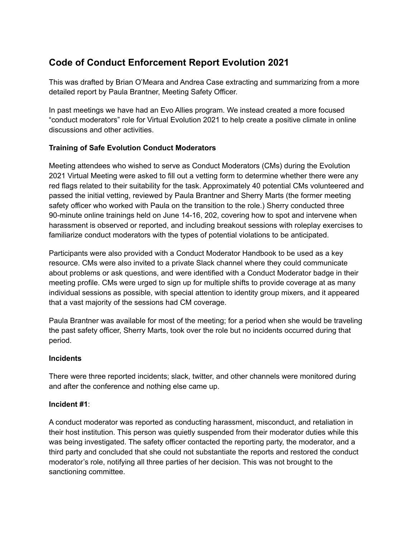# **Code of Conduct Enforcement Report Evolution 2021**

This was drafted by Brian O'Meara and Andrea Case extracting and summarizing from a more detailed report by Paula Brantner, Meeting Safety Officer.

In past meetings we have had an Evo Allies program. We instead created a more focused "conduct moderators" role for Virtual Evolution 2021 to help create a positive climate in online discussions and other activities.

## **Training of Safe Evolution Conduct Moderators**

Meeting attendees who wished to serve as Conduct Moderators (CMs) during the Evolution 2021 Virtual Meeting were asked to fill out a vetting form to determine whether there were any red flags related to their suitability for the task. Approximately 40 potential CMs volunteered and passed the initial vetting, reviewed by Paula Brantner and Sherry Marts (the former meeting safety officer who worked with Paula on the transition to the role.) Sherry conducted three 90-minute online trainings held on June 14-16, 202, covering how to spot and intervene when harassment is observed or reported, and including breakout sessions with roleplay exercises to familiarize conduct moderators with the types of potential violations to be anticipated.

Participants were also provided with a Conduct Moderator Handbook to be used as a key resource. CMs were also invited to a private Slack channel where they could communicate about problems or ask questions, and were identified with a Conduct Moderator badge in their meeting profile. CMs were urged to sign up for multiple shifts to provide coverage at as many individual sessions as possible, with special attention to identity group mixers, and it appeared that a vast majority of the sessions had CM coverage.

Paula Brantner was available for most of the meeting; for a period when she would be traveling the past safety officer, Sherry Marts, took over the role but no incidents occurred during that period.

## **Incidents**

There were three reported incidents; slack, twitter, and other channels were monitored during and after the conference and nothing else came up.

## **Incident #1**:

A conduct moderator was reported as conducting harassment, misconduct, and retaliation in their host institution. This person was quietly suspended from their moderator duties while this was being investigated. The safety officer contacted the reporting party, the moderator, and a third party and concluded that she could not substantiate the reports and restored the conduct moderator's role, notifying all three parties of her decision. This was not brought to the sanctioning committee.